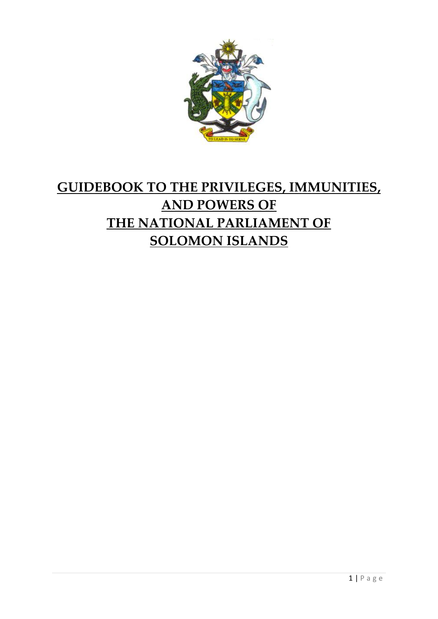

# **GUIDEBOOK TO THE PRIVILEGES, IMMUNITIES, AND POWERS OF THE NATIONAL PARLIAMENT OF SOLOMON ISLANDS**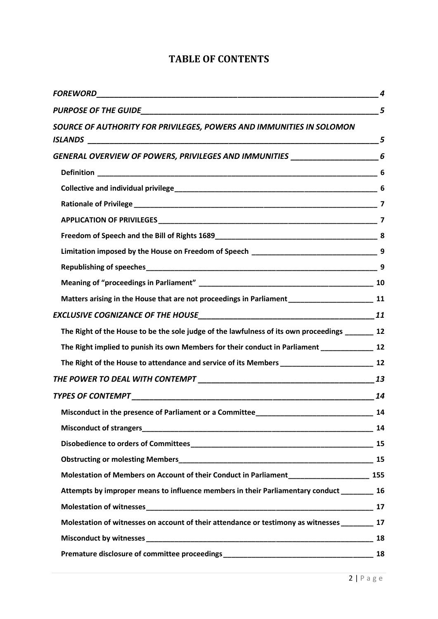| SOURCE OF AUTHORITY FOR PRIVILEGES, POWERS AND IMMUNITIES IN SOLOMON                             |  |
|--------------------------------------------------------------------------------------------------|--|
| GENERAL OVERVIEW OF POWERS, PRIVILEGES AND IMMUNITIES _________________________6                 |  |
|                                                                                                  |  |
|                                                                                                  |  |
|                                                                                                  |  |
|                                                                                                  |  |
|                                                                                                  |  |
|                                                                                                  |  |
|                                                                                                  |  |
|                                                                                                  |  |
|                                                                                                  |  |
|                                                                                                  |  |
| The Right of the House to be the sole judge of the lawfulness of its own proceedings ________ 12 |  |
|                                                                                                  |  |
|                                                                                                  |  |
|                                                                                                  |  |
|                                                                                                  |  |
|                                                                                                  |  |
|                                                                                                  |  |
|                                                                                                  |  |
|                                                                                                  |  |
|                                                                                                  |  |
| Attempts by improper means to influence members in their Parliamentary conduct ________ 16       |  |
|                                                                                                  |  |
| Molestation of witnesses on account of their attendance or testimony as witnesses 17             |  |
|                                                                                                  |  |
|                                                                                                  |  |

# **TABLE OF CONTENTS**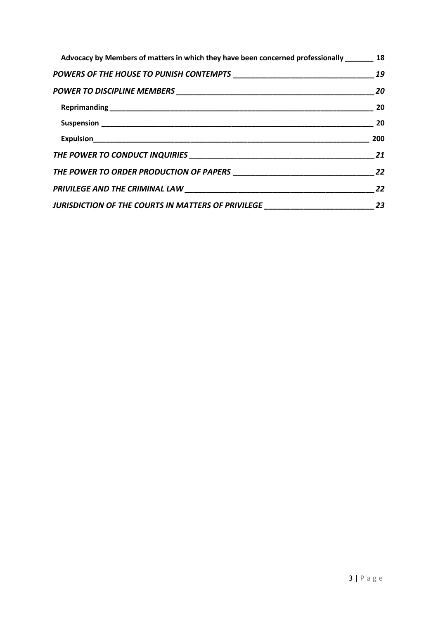| Advocacy by Members of matters in which they have been concerned professionally 18 |                            |
|------------------------------------------------------------------------------------|----------------------------|
|                                                                                    |                            |
|                                                                                    |                            |
|                                                                                    |                            |
|                                                                                    | $\sim$ 20                  |
|                                                                                    | 200                        |
|                                                                                    |                            |
| THE POWER TO ORDER PRODUCTION OF PAPERS 22                                         |                            |
|                                                                                    | 22                         |
| JURISDICTION OF THE COURTS IN MATTERS OF PRIVILEGE _____________________________   | $\overline{\phantom{a}23}$ |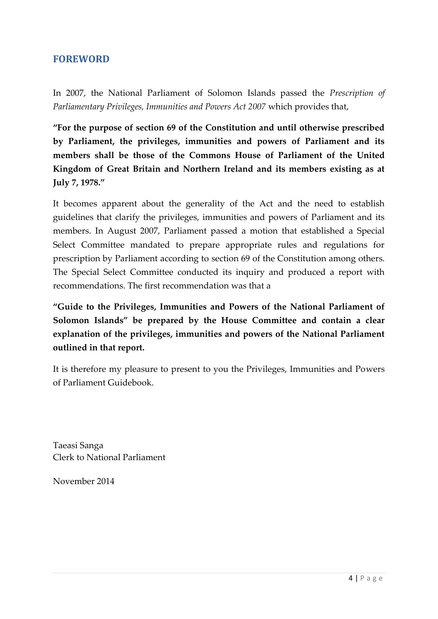### **FOREWORD**

In 2007, the National Parliament of Solomon Islands passed the *Prescription of Parliamentary Privileges, Immunities and Powers Act 2007* which provides that,

**"For the purpose of section 69 of the Constitution and until otherwise prescribed by Parliament, the privileges, immunities and powers of Parliament and its members shall be those of the Commons House of Parliament of the United Kingdom of Great Britain and Northern Ireland and its members existing as at July 7, 1978."**

It becomes apparent about the generality of the Act and the need to establish guidelines that clarify the privileges, immunities and powers of Parliament and its members. In August 2007, Parliament passed a motion that established a Special Select Committee mandated to prepare appropriate rules and regulations for prescription by Parliament according to section 69 of the Constitution among others. The Special Select Committee conducted its inquiry and produced a report with recommendations. The first recommendation was that a

**"Guide to the Privileges, Immunities and Powers of the National Parliament of Solomon Islands" be prepared by the House Committee and contain a clear explanation of the privileges, immunities and powers of the National Parliament outlined in that report.**

It is therefore my pleasure to present to you the Privileges, Immunities and Powers of Parliament Guidebook.

Taeasi Sanga Clerk to National Parliament

November 2014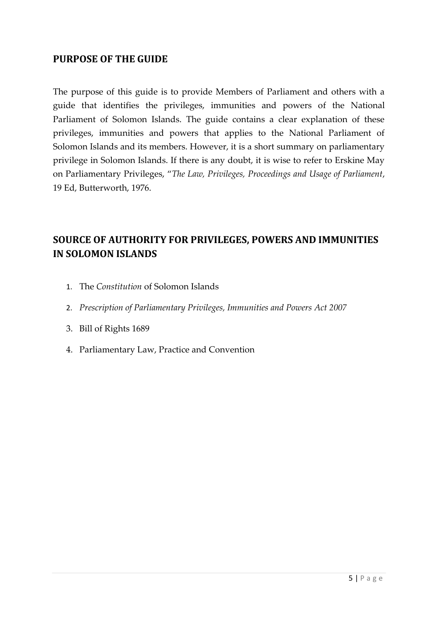### **PURPOSE OF THE GUIDE**

The purpose of this guide is to provide Members of Parliament and others with a guide that identifies the privileges, immunities and powers of the National Parliament of Solomon Islands. The guide contains a clear explanation of these privileges, immunities and powers that applies to the National Parliament of Solomon Islands and its members. However, it is a short summary on parliamentary privilege in Solomon Islands. If there is any doubt, it is wise to refer to Erskine May on Parliamentary Privileges, "*The Law, Privileges, Proceedings and Usage of Parliament*, 19 Ed, Butterworth, 1976.

# **SOURCE OF AUTHORITY FOR PRIVILEGES, POWERS AND IMMUNITIES IN SOLOMON ISLANDS**

- 1. The *Constitution* of Solomon Islands
- 2. *Prescription of Parliamentary Privileges, Immunities and Powers Act 2007*
- 3. Bill of Rights 1689
- 4. Parliamentary Law, Practice and Convention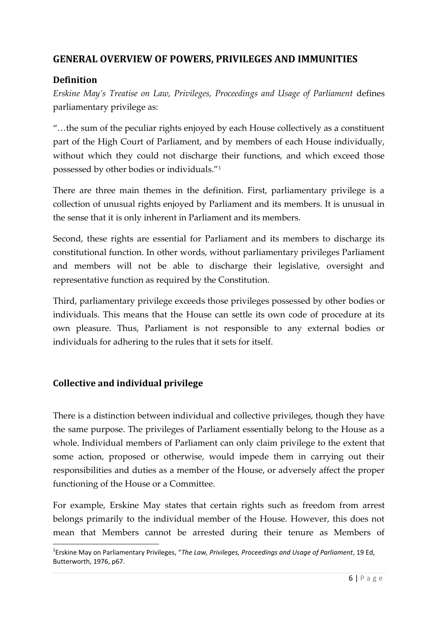# **GENERAL OVERVIEW OF POWERS, PRIVILEGES AND IMMUNITIES**

### **Definition**

*Erskine May's Treatise on Law, Privileges, Proceedings and Usage of Parliament* defines parliamentary privilege as:

"…the sum of the peculiar rights enjoyed by each House collectively as a constituent part of the High Court of Parliament, and by members of each House individually, without which they could not discharge their functions, and which exceed those possessed by other bodies or individuals."<sup>1</sup>

There are three main themes in the definition. First, parliamentary privilege is a collection of unusual rights enjoyed by Parliament and its members. It is unusual in the sense that it is only inherent in Parliament and its members.

Second, these rights are essential for Parliament and its members to discharge its constitutional function. In other words, without parliamentary privileges Parliament and members will not be able to discharge their legislative, oversight and representative function as required by the Constitution.

Third, parliamentary privilege exceeds those privileges possessed by other bodies or individuals. This means that the House can settle its own code of procedure at its own pleasure. Thus, Parliament is not responsible to any external bodies or individuals for adhering to the rules that it sets for itself.

### **Collective and individual privilege**

There is a distinction between individual and collective privileges, though they have the same purpose. The privileges of Parliament essentially belong to the House as a whole. Individual members of Parliament can only claim privilege to the extent that some action, proposed or otherwise, would impede them in carrying out their responsibilities and duties as a member of the House, or adversely affect the proper functioning of the House or a Committee.

For example, Erskine May states that certain rights such as freedom from arrest belongs primarily to the individual member of the House. However, this does not mean that Members cannot be arrested during their tenure as Members of

mbers of<br>*nt*, 19 Ed,<br>6 | P a g e <sup>1</sup>Erskine May on Parliamentary Privileges, "*The Law, Privileges, Proceedings and Usage of Parliament*, 19 Ed, Butterworth, 1976, p67.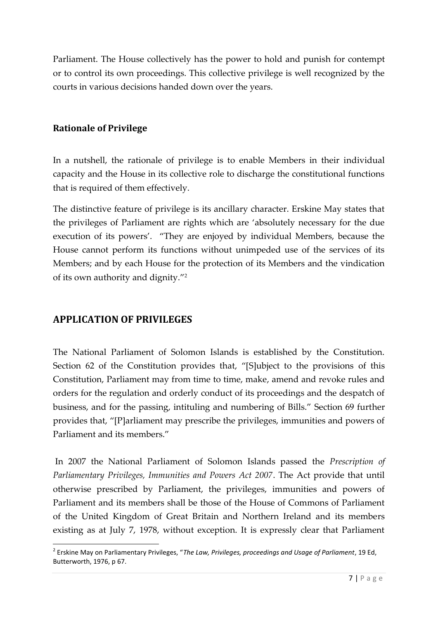Parliament. The House collectively has the power to hold and punish for contempt or to control its own proceedings. This collective privilege is well recognized by the courts in various decisions handed down over the years.

### **Rationale of Privilege**

In a nutshell, the rationale of privilege is to enable Members in their individual capacity and the House in its collective role to discharge the constitutional functions that is required of them effectively.

The distinctive feature of privilege is its ancillary character. Erskine May states that the privileges of Parliament are rights which are 'absolutely necessary for the due execution of its powers'. "They are enjoyed by individual Members, because the House cannot perform its functions without unimpeded use of the services of its Members; and by each House for the protection of its Members and the vindication of its own authority and dignity."<sup>2</sup>

# **APPLICATION OF PRIVILEGES**

The National Parliament of Solomon Islands is established by the Constitution. Section 62 of the Constitution provides that, "[S]ubject to the provisions of this Constitution, Parliament may from time to time, make, amend and revoke rules and orders for the regulation and orderly conduct of its proceedings and the despatch of business, and for the passing, intituling and numbering of Bills." Section 69 further provides that, "[P]arliament may prescribe the privileges, immunities and powers of Parliament and its members."

In 2007 the National Parliament of Solomon Islands passed the *Prescription of Parliamentary Privileges, Immunities and Powers Act 2007*. The Act provide that until otherwise prescribed by Parliament, the privileges, immunities and powers of Parliament and its members shall be those of the House of Commons of Parliament of the United Kingdom of Great Britain and Northern Ireland and its members existing as at July 7, 1978, without exception. It is expressly clear that Parliament

**arnament**<br>*nt*, 19 Ed,<br>7 | P a g e <sup>2</sup> Erskine May on Parliamentary Privileges, "*The Law, Privileges, proceedings and Usage of Parliament*, 19 Ed, Butterworth, 1976, p 67.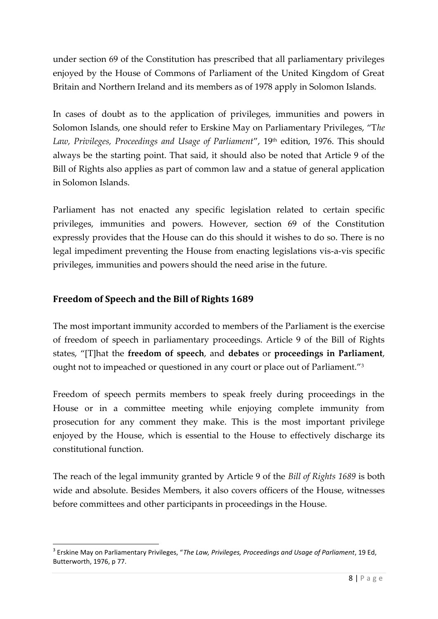under section 69 of the Constitution has prescribed that all parliamentary privileges enjoyed by the House of Commons of Parliament of the United Kingdom of Great Britain and Northern Ireland and its members as of 1978 apply in Solomon Islands.

In cases of doubt as to the application of privileges, immunities and powers in Solomon Islands, one should refer to Erskine May on Parliamentary Privileges, "T*he* Law, Privileges, Proceedings and Usage of Parliament", 19<sup>th</sup> edition, 1976. This should always be the starting point. That said, it should also be noted that Article 9 of the Bill of Rights also applies as part of common law and a statue of general application in Solomon Islands.

Parliament has not enacted any specific legislation related to certain specific privileges, immunities and powers. However, section 69 of the Constitution expressly provides that the House can do this should it wishes to do so. There is no legal impediment preventing the House from enacting legislations vis-a-vis specific privileges, immunities and powers should the need arise in the future.

# **Freedom of Speech and the Bill of Rights 1689**

The most important immunity accorded to members of the Parliament is the exercise of freedom of speech in parliamentary proceedings. Article 9 of the Bill of Rights states, "[T]hat the **freedom of speech**, and **debates** or **proceedings in Parliament**, ought not to impeached or questioned in any court or place out of Parliament."<sup>3</sup>

Freedom of speech permits members to speak freely during proceedings in the House or in a committee meeting while enjoying complete immunity from prosecution for any comment they make. This is the most important privilege enjoyed by the House, which is essential to the House to effectively discharge its constitutional function.

The reach of the legal immunity granted by Article 9 of the *Bill of Rights 1689* is both wide and absolute. Besides Members, it also covers officers of the House, witnesses before committees and other participants in proceedings in the House.

nt, 19 Ed,<br>8 | P a g e <sup>3</sup> Erskine May on Parliamentary Privileges, "*The Law, Privileges, Proceedings and Usage of Parliament*, 19 Ed, Butterworth, 1976, p 77.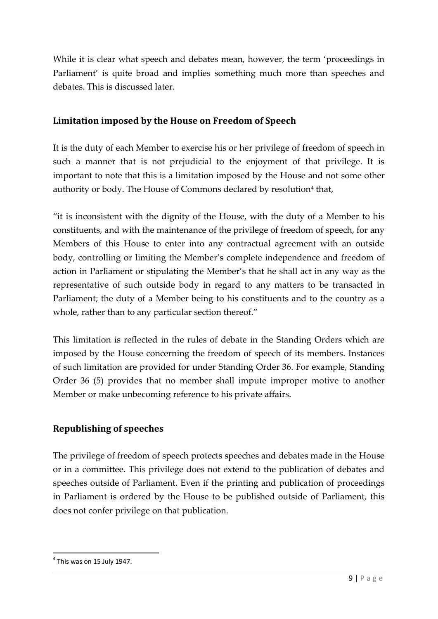While it is clear what speech and debates mean, however, the term 'proceedings in Parliament' is quite broad and implies something much more than speeches and debates. This is discussed later.

### **Limitation imposed by the House on Freedom of Speech**

It is the duty of each Member to exercise his or her privilege of freedom of speech in such a manner that is not prejudicial to the enjoyment of that privilege. It is important to note that this is a limitation imposed by the House and not some other authority or body. The House of Commons declared by resolution<sup>4</sup> that,

"it is inconsistent with the dignity of the House, with the duty of a Member to his constituents, and with the maintenance of the privilege of freedom of speech, for any Members of this House to enter into any contractual agreement with an outside body, controlling or limiting the Member's complete independence and freedom of action in Parliament or stipulating the Member's that he shall act in any way as the representative of such outside body in regard to any matters to be transacted in Parliament; the duty of a Member being to his constituents and to the country as a whole, rather than to any particular section thereof."

This limitation is reflected in the rules of debate in the Standing Orders which are imposed by the House concerning the freedom of speech of its members. Instances of such limitation are provided for under Standing Order 36. For example, Standing Order 36 (5) provides that no member shall impute improper motive to another Member or make unbecoming reference to his private affairs.

# **Republishing of speeches**

The privilege of freedom of speech protects speeches and debates made in the House or in a committee. This privilege does not extend to the publication of debates and speeches outside of Parliament. Even if the printing and publication of proceedings in Parliament is ordered by the House to be published outside of Parliament, this does not confer privilege on that publication.

<sup>4</sup> This was on 15 July 1947.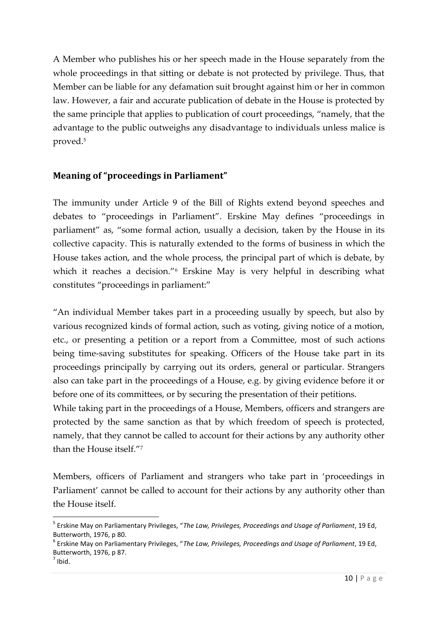A Member who publishes his or her speech made in the House separately from the whole proceedings in that sitting or debate is not protected by privilege. Thus, that Member can be liable for any defamation suit brought against him or her in common law. However, a fair and accurate publication of debate in the House is protected by the same principle that applies to publication of court proceedings, "namely, that the advantage to the public outweighs any disadvantage to individuals unless malice is proved.<sup>5</sup>

# **Meaning of "proceedings in Parliament"**

The immunity under Article 9 of the Bill of Rights extend beyond speeches and debates to "proceedings in Parliament". Erskine May defines "proceedings in parliament" as, "some formal action, usually a decision, taken by the House in its collective capacity. This is naturally extended to the forms of business in which the House takes action, and the whole process, the principal part of which is debate, by which it reaches a decision."<sup>6</sup> Erskine May is very helpful in describing what constitutes "proceedings in parliament:"

"An individual Member takes part in a proceeding usually by speech, but also by various recognized kinds of formal action, such as voting, giving notice of a motion, etc., or presenting a petition or a report from a Committee, most of such actions being time-saving substitutes for speaking. Officers of the House take part in its proceedings principally by carrying out its orders, general or particular. Strangers also can take part in the proceedings of a House, e.g. by giving evidence before it or before one of its committees, or by securing the presentation of their petitions.

While taking part in the proceedings of a House, Members, officers and strangers are protected by the same sanction as that by which freedom of speech is protected, namely, that they cannot be called to account for their actions by any authority other than the House itself."<sup>7</sup>

Members, officers of Parliament and strangers who take part in 'proceedings in Parliament' cannot be called to account for their actions by any authority other than the House itself.

 $<sup>7</sup>$  Ibid.</sup>

<sup>5</sup> Erskine May on Parliamentary Privileges, "*The Law, Privileges, Proceedings and Usage of Parliament*, 19 Ed, Butterworth, 1976, p 80.<br><sup>6</sup> Erskine May on Parliamentary Privileges, "*The Law, Privileges, Proceedings and Usage of Parliament*, 19 Ed,

ent, 19 Ed,<br>10 | P a g e Butterworth, 1976, p 87.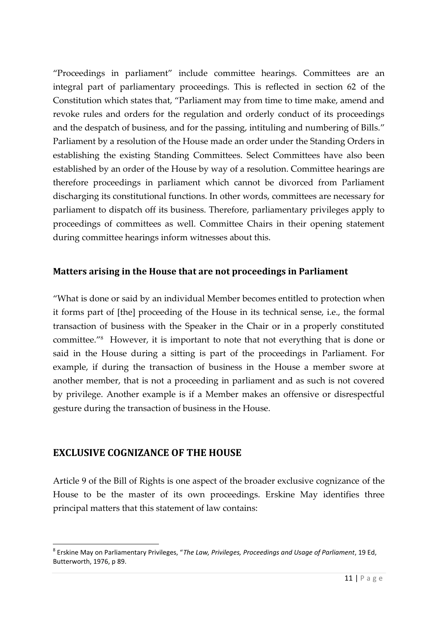"Proceedings in parliament" include committee hearings. Committees are an integral part of parliamentary proceedings. This is reflected in section 62 of the Constitution which states that, "Parliament may from time to time make, amend and revoke rules and orders for the regulation and orderly conduct of its proceedings and the despatch of business, and for the passing, intituling and numbering of Bills." Parliament by a resolution of the House made an order under the Standing Orders in establishing the existing Standing Committees. Select Committees have also been established by an order of the House by way of a resolution. Committee hearings are therefore proceedings in parliament which cannot be divorced from Parliament discharging its constitutional functions. In other words, committees are necessary for parliament to dispatch off its business. Therefore, parliamentary privileges apply to proceedings of committees as well. Committee Chairs in their opening statement during committee hearings inform witnesses about this.

### **Matters arising in the House that are not proceedings in Parliament**

"What is done or said by an individual Member becomes entitled to protection when it forms part of [the] proceeding of the House in its technical sense, i.e., the formal transaction of business with the Speaker in the Chair or in a properly constituted committee." <sup>8</sup> However, it is important to note that not everything that is done or said in the House during a sitting is part of the proceedings in Parliament. For example, if during the transaction of business in the House a member swore at another member, that is not a proceeding in parliament and as such is not covered by privilege. Another example is if a Member makes an offensive or disrespectful gesture during the transaction of business in the House.

### **EXCLUSIVE COGNIZANCE OF THE HOUSE**

Article 9 of the Bill of Rights is one aspect of the broader exclusive cognizance of the House to be the master of its own proceedings. Erskine May identifies three principal matters that this statement of law contains:

ent, 19 Ed,<br>11 | P a g e <sup>8</sup> Erskine May on Parliamentary Privileges, "*The Law, Privileges, Proceedings and Usage of Parliament*, 19 Ed, Butterworth, 1976, p 89.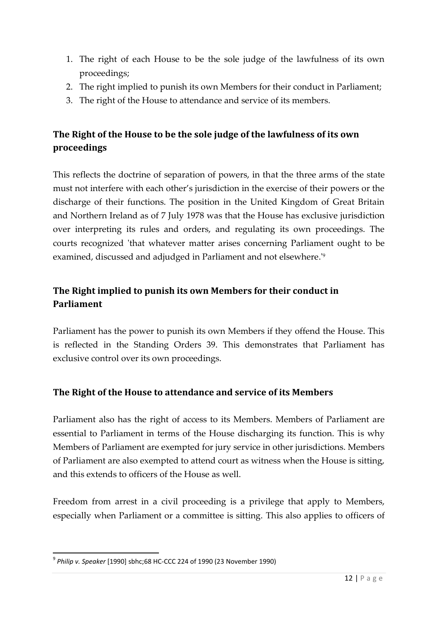- 1. The right of each House to be the sole judge of the lawfulness of its own proceedings;
- 2. The right implied to punish its own Members for their conduct in Parliament;
- 3. The right of the House to attendance and service of its members.

# **The Right of the House to be the sole judge of the lawfulness of its own proceedings**

This reflects the doctrine of separation of powers, in that the three arms of the state must not interfere with each other's jurisdiction in the exercise of their powers or the discharge of their functions. The position in the United Kingdom of Great Britain and Northern Ireland as of 7 July 1978 was that the House has exclusive jurisdiction over interpreting its rules and orders, and regulating its own proceedings. The courts recognized 'that whatever matter arises concerning Parliament ought to be examined, discussed and adjudged in Parliament and not elsewhere.'<sup>9</sup>

# **The Right implied to punish its own Members for their conduct in Parliament**

Parliament has the power to punish its own Members if they offend the House. This is reflected in the Standing Orders 39. This demonstrates that Parliament has exclusive control over its own proceedings.

### **The Right of the House to attendance and service of its Members**

Parliament also has the right of access to its Members. Members of Parliament are essential to Parliament in terms of the House discharging its function. This is why Members of Parliament are exempted for jury service in other jurisdictions. Members of Parliament are also exempted to attend court as witness when the House is sitting, and this extends to officers of the House as well.

Freedom from arrest in a civil proceeding is a privilege that apply to Members, especially when Parliament or a committee is sitting. This also applies to officers of

<sup>9</sup> *Philip v. Speaker* [1990] sbhc;68 HC-CCC 224 of 1990 (23 November 1990)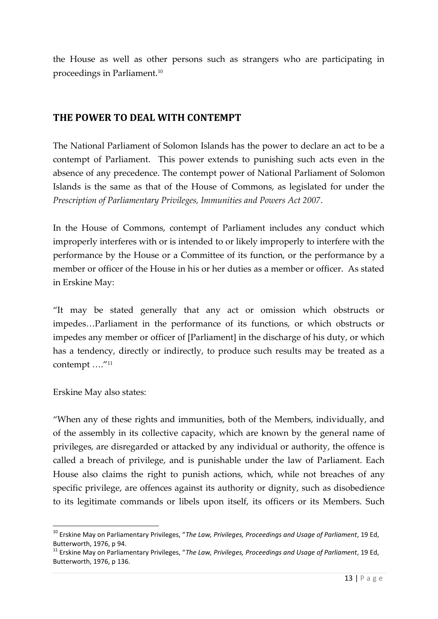the House as well as other persons such as strangers who are participating in proceedings in Parliament.<sup>10</sup>

# **THE POWER TO DEAL WITH CONTEMPT**

The National Parliament of Solomon Islands has the power to declare an act to be a contempt of Parliament. This power extends to punishing such acts even in the absence of any precedence. The contempt power of National Parliament of Solomon Islands is the same as that of the House of Commons, as legislated for under the *Prescription of Parliamentary Privileges, Immunities and Powers Act 2007*.

In the House of Commons, contempt of Parliament includes any conduct which improperly interferes with or is intended to or likely improperly to interfere with the performance by the House or a Committee of its function, or the performance by a member or officer of the House in his or her duties as a member or officer. As stated in Erskine May:

"It may be stated generally that any act or omission which obstructs or impedes…Parliament in the performance of its functions, or which obstructs or impedes any member or officer of [Parliament] in the discharge of his duty, or which has a tendency, directly or indirectly, to produce such results may be treated as a contempt …."<sup>11</sup>

Erskine May also states:

"When any of these rights and immunities, both of the Members, individually, and of the assembly in its collective capacity, which are known by the general name of privileges, are disregarded or attacked by any individual or authority, the offence is called a breach of privilege, and is punishable under the law of Parliament. Each House also claims the right to punish actions, which, while not breaches of any specific privilege, are offences against its authority or dignity, such as disobedience to its legitimate commands or libels upon itself, its officers or its Members. Such

<sup>10</sup> Erskine May on Parliamentary Privileges, "*The Law, Privileges, Proceedings and Usage of Parliament*, 19 Ed,

nent, 19 Ed,<br>nent, 19 Ed,<br>13 | P a g e Butterworth, 1976, p 94.<br><sup>11</sup> Erskine May on Parliamentary Privileges, "*The Law, Privileges, Proceedings and Usage of Parliament*, 19 Ed, Butterworth, 1976, p 136.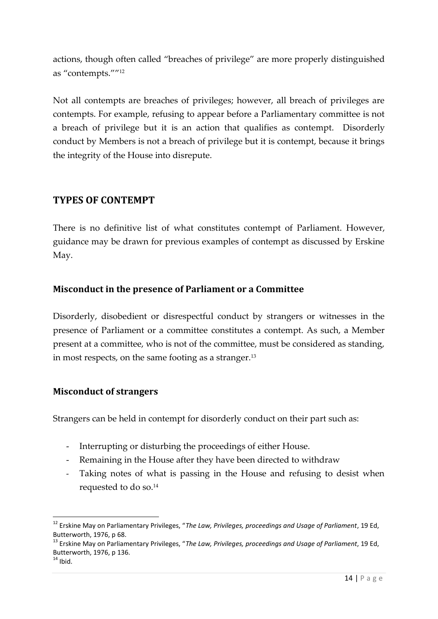actions, though often called "breaches of privilege" are more properly distinguished as "contempts."" 12

Not all contempts are breaches of privileges; however, all breach of privileges are contempts. For example, refusing to appear before a Parliamentary committee is not a breach of privilege but it is an action that qualifies as contempt. Disorderly conduct by Members is not a breach of privilege but it is contempt, because it brings the integrity of the House into disrepute.

# **TYPES OF CONTEMPT**

There is no definitive list of what constitutes contempt of Parliament. However, guidance may be drawn for previous examples of contempt as discussed by Erskine May.

### **Misconduct in the presence of Parliament or a Committee**

Disorderly, disobedient or disrespectful conduct by strangers or witnesses in the presence of Parliament or a committee constitutes a contempt. As such, a Member present at a committee, who is not of the committee, must be considered as standing, in most respects, on the same footing as a stranger. $13$ 

#### **Misconduct of strangers**

Strangers can be held in contempt for disorderly conduct on their part such as:

- Interrupting or disturbing the proceedings of either House.
- Remaining in the House after they have been directed to withdraw
- Taking notes of what is passing in the House and refusing to desist when requested to do so.<sup>14</sup>

<sup>12</sup> Erskine May on Parliamentary Privileges, "*The Law, Privileges, proceedings and Usage of Parliament*, 19 Ed, Butterworth, 1976, p 68.<br><sup>13</sup> Erskine May on Parliamentary Privileges, "*The Law, Privileges, proceedings and Usage of Parliament*, 19 Ed,

nent, 19 Ed,<br>14 | P a g e Butterworth, 1976, p 136.<br><sup>14</sup> Ibid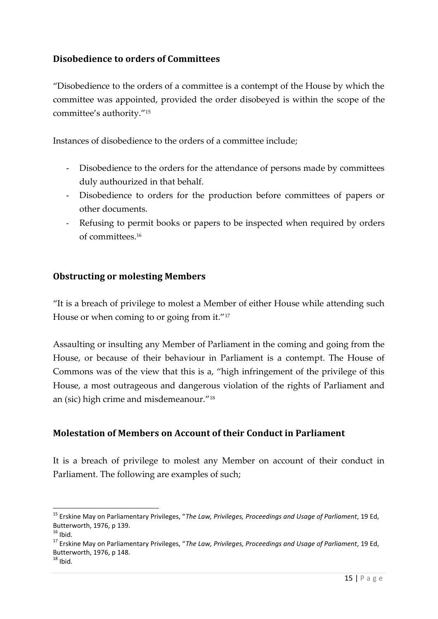### **Disobedience to orders of Committees**

"Disobedience to the orders of a committee is a contempt of the House by which the committee was appointed, provided the order disobeyed is within the scope of the committee's authority."<sup>15</sup>

Instances of disobedience to the orders of a committee include;

- Disobedience to the orders for the attendance of persons made by committees duly authourized in that behalf.
- Disobedience to orders for the production before committees of papers or other documents.
- Refusing to permit books or papers to be inspected when required by orders of committees.<sup>16</sup>

### **Obstructing or molesting Members**

"It is a breach of privilege to molest a Member of either House while attending such House or when coming to or going from it."<sup>17</sup>

Assaulting or insulting any Member of Parliament in the coming and going from the House, or because of their behaviour in Parliament is a contempt. The House of Commons was of the view that this is a, "high infringement of the privilege of this House, a most outrageous and dangerous violation of the rights of Parliament and an (sic) high crime and misdemeanour."<sup>18</sup>

### **Molestation of Members on Account of their Conduct in Parliament**

It is a breach of privilege to molest any Member on account of their conduct in Parliament. The following are examples of such;

<sup>15</sup> Erskine May on Parliamentary Privileges, "*The Law, Privileges, Proceedings and Usage of Parliament*, 19 Ed,

nent, 19 Ed,<br>15 | P a g e <sup>16</sup> Ibid.<br><sup>17</sup> Erskine May on Parliamentary Privileges, "*The Law, Privileges, Proceedings and Usage of Parliament*, 19 Ed, Butterworth, 1976, p 148.<br><sup>18</sup> Ibid.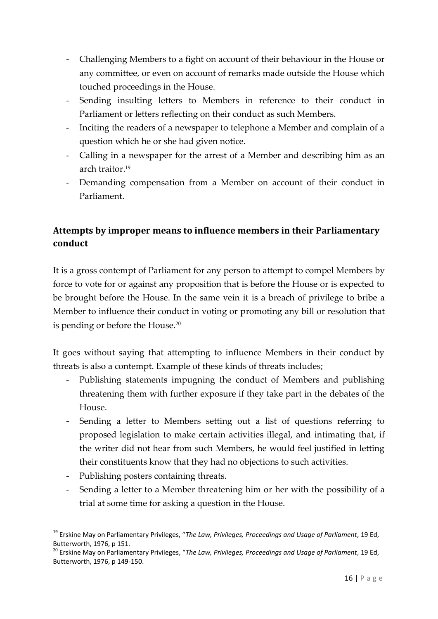- Challenging Members to a fight on account of their behaviour in the House or any committee, or even on account of remarks made outside the House which touched proceedings in the House.
- Sending insulting letters to Members in reference to their conduct in Parliament or letters reflecting on their conduct as such Members.
- Inciting the readers of a newspaper to telephone a Member and complain of a question which he or she had given notice.
- Calling in a newspaper for the arrest of a Member and describing him as an arch traitor.<sup>19</sup>
- Demanding compensation from a Member on account of their conduct in Parliament.

# **Attempts by improper means to influence members in their Parliamentary conduct**

It is a gross contempt of Parliament for any person to attempt to compel Members by force to vote for or against any proposition that is before the House or is expected to be brought before the House. In the same vein it is a breach of privilege to bribe a Member to influence their conduct in voting or promoting any bill or resolution that is pending or before the House.<sup>20</sup>

It goes without saying that attempting to influence Members in their conduct by threats is also a contempt. Example of these kinds of threats includes;

- Publishing statements impugning the conduct of Members and publishing threatening them with further exposure if they take part in the debates of the House.
- Sending a letter to Members setting out a list of questions referring to proposed legislation to make certain activities illegal, and intimating that, if the writer did not hear from such Members, he would feel justified in letting their constituents know that they had no objections to such activities.
- Publishing posters containing threats.
- Sending a letter to a Member threatening him or her with the possibility of a trial at some time for asking a question in the House.

nent, 19 Ed,<br>nent, 19 Ed,<br>16 | P a g e <sup>19</sup> Erskine May on Parliamentary Privileges, "*The Law, Privileges, Proceedings and Usage of Parliament*, 19 Ed,

Butterworth, 1976, p 151.<br><sup>20</sup> Erskine May on Parliamentary Privileges, "*The Law, Privileges, Proceedings and Usage of Parliament*, 19 Ed, Butterworth, 1976, p 149-150.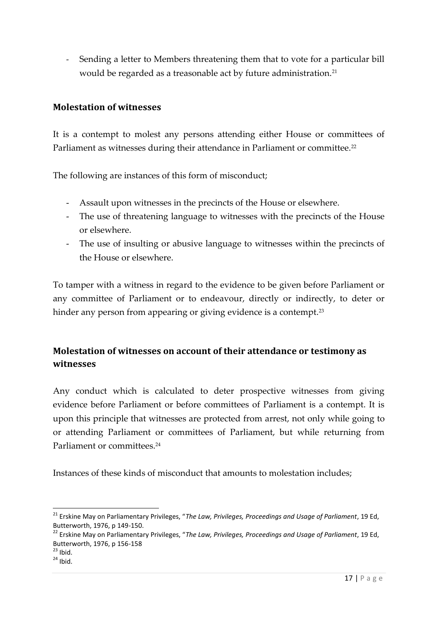- Sending a letter to Members threatening them that to vote for a particular bill would be regarded as a treasonable act by future administration.<sup>21</sup>

#### **Molestation of witnesses**

It is a contempt to molest any persons attending either House or committees of Parliament as witnesses during their attendance in Parliament or committee.<sup>22</sup>

The following are instances of this form of misconduct;

- Assault upon witnesses in the precincts of the House or elsewhere.
- The use of threatening language to witnesses with the precincts of the House or elsewhere.
- The use of insulting or abusive language to witnesses within the precincts of the House or elsewhere.

To tamper with a witness in regard to the evidence to be given before Parliament or any committee of Parliament or to endeavour, directly or indirectly, to deter or hinder any person from appearing or giving evidence is a contempt.<sup>23</sup>

# **Molestation of witnesses on account of their attendance or testimony as witnesses**

Any conduct which is calculated to deter prospective witnesses from giving evidence before Parliament or before committees of Parliament is a contempt. It is upon this principle that witnesses are protected from arrest, not only while going to or attending Parliament or committees of Parliament, but while returning from Parliament or committees.<sup>24</sup>

Instances of these kinds of misconduct that amounts to molestation includes;

<sup>21</sup> Erskine May on Parliamentary Privileges, "*The Law, Privileges, Proceedings and Usage of Parliament*, 19 Ed, Butterworth, 1976, p 149-150.<br><sup>22</sup> Erskine May on Parliamentary Privileges, "*The Law, Privileges, Proceedings and Usage of Parliament*, 19 Ed,

nent, 19 Ed,<br>17 | P a g e Butterworth, 1976, p 156-158<br><sup>23</sup> Ibid.

 $24$  Ibid.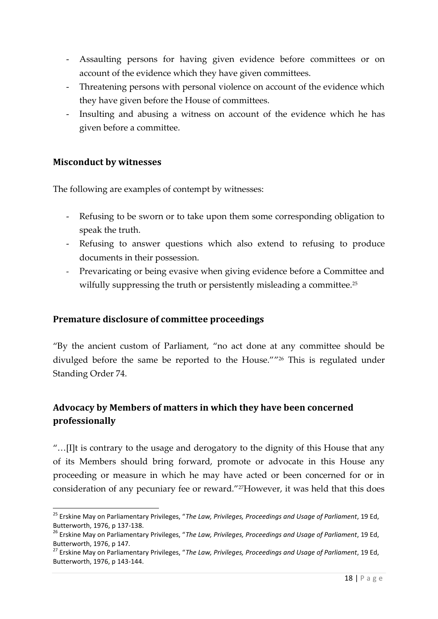- Assaulting persons for having given evidence before committees or on account of the evidence which they have given committees.
- Threatening persons with personal violence on account of the evidence which they have given before the House of committees.
- Insulting and abusing a witness on account of the evidence which he has given before a committee.

#### **Misconduct by witnesses**

The following are examples of contempt by witnesses:

- Refusing to be sworn or to take upon them some corresponding obligation to speak the truth.
- Refusing to answer questions which also extend to refusing to produce documents in their possession.
- Prevaricating or being evasive when giving evidence before a Committee and wilfully suppressing the truth or persistently misleading a committee.<sup>25</sup>

#### **Premature disclosure of committee proceedings**

"By the ancient custom of Parliament, "no act done at any committee should be divulged before the same be reported to the House."" <sup>26</sup> This is regulated under Standing Order 74.

# **Advocacy by Members of matters in which they have been concerned professionally**

"…[I]t is contrary to the usage and derogatory to the dignity of this House that any of its Members should bring forward, promote or advocate in this House any proceeding or measure in which he may have acted or been concerned for or in consideration of any pecuniary fee or reward."27However, it was held that this does

<sup>25</sup> Erskine May on Parliamentary Privileges, "*The Law, Privileges, Proceedings and Usage of Parliament*, 19 Ed, Butterworth, 1976, p 137-138.<br><sup>26</sup> Erskine May on Parliamentary Privileges, "*The Law, Privileges, Proceedings and Usage of Parliament*, 19 Ed,

nent, 19 Ed,<br>nent, 19 Ed,<br>18 | P a g e Butterworth, 1976, p 147.<br><sup>27</sup> Erskine May on Parliamentary Privileges, "*The Law, Privileges, Proceedings and Usage of Parliament*, 19 Ed,

Butterworth, 1976, p 143-144.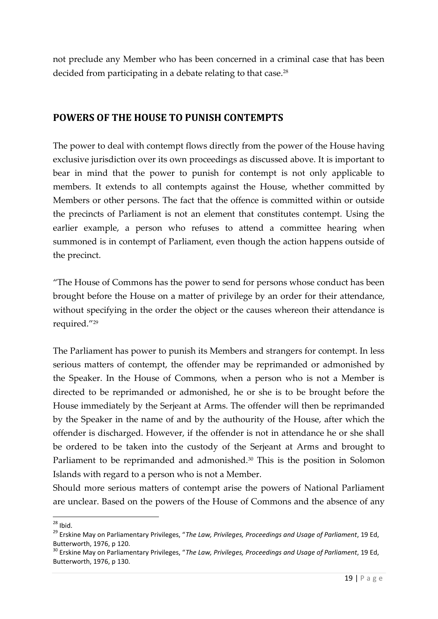not preclude any Member who has been concerned in a criminal case that has been decided from participating in a debate relating to that case.<sup>28</sup>

# **POWERS OF THE HOUSE TO PUNISH CONTEMPTS**

The power to deal with contempt flows directly from the power of the House having exclusive jurisdiction over its own proceedings as discussed above. It is important to bear in mind that the power to punish for contempt is not only applicable to members. It extends to all contempts against the House, whether committed by Members or other persons. The fact that the offence is committed within or outside the precincts of Parliament is not an element that constitutes contempt. Using the earlier example, a person who refuses to attend a committee hearing when summoned is in contempt of Parliament, even though the action happens outside of the precinct.

"The House of Commons has the power to send for persons whose conduct has been brought before the House on a matter of privilege by an order for their attendance, without specifying in the order the object or the causes whereon their attendance is required." 29

The Parliament has power to punish its Members and strangers for contempt. In less serious matters of contempt, the offender may be reprimanded or admonished by the Speaker. In the House of Commons, when a person who is not a Member is directed to be reprimanded or admonished, he or she is to be brought before the House immediately by the Serjeant at Arms. The offender will then be reprimanded by the Speaker in the name of and by the authourity of the House, after which the offender is discharged. However, if the offender is not in attendance he or she shall be ordered to be taken into the custody of the Serjeant at Arms and brought to Parliament to be reprimanded and admonished.<sup>30</sup> This is the position in Solomon Islands with regard to a person who is not a Member.

Should more serious matters of contempt arise the powers of National Parliament are unclear. Based on the powers of the House of Commons and the absence of any

<sup>28</sup> Ibid. <sup>29</sup> Erskine May on Parliamentary Privileges, "*The Law, Privileges, Proceedings and Usage of Parliament*, 19 Ed, Butterworth, 1976, p 120.<br><sup>30</sup> Erskine May on Parliamentary Privileges, "*The Law, Privileges, Proceedings and Usage of Parliament*, 19 Ed,

nent, 19 Ed,<br>nent, 19 Ed,<br>19 | P a g e Butterworth, 1976, p 130.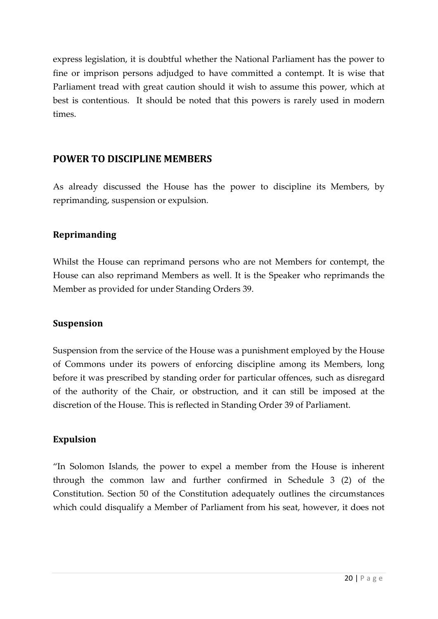express legislation, it is doubtful whether the National Parliament has the power to fine or imprison persons adjudged to have committed a contempt. It is wise that Parliament tread with great caution should it wish to assume this power, which at best is contentious. It should be noted that this powers is rarely used in modern times.

### **POWER TO DISCIPLINE MEMBERS**

As already discussed the House has the power to discipline its Members, by reprimanding, suspension or expulsion.

### **Reprimanding**

Whilst the House can reprimand persons who are not Members for contempt, the House can also reprimand Members as well. It is the Speaker who reprimands the Member as provided for under Standing Orders 39.

### **Suspension**

Suspension from the service of the House was a punishment employed by the House of Commons under its powers of enforcing discipline among its Members, long before it was prescribed by standing order for particular offences, such as disregard of the authority of the Chair, or obstruction, and it can still be imposed at the discretion of the House. This is reflected in Standing Order 39 of Parliament.

### **Expulsion**

"In Solomon Islands, the power to expel a member from the House is inherent through the common law and further confirmed in Schedule 3 (2) of the Constitution. Section 50 of the Constitution adequately outlines the circumstances which could disqualify a Member of Parliament from his seat, however, it does not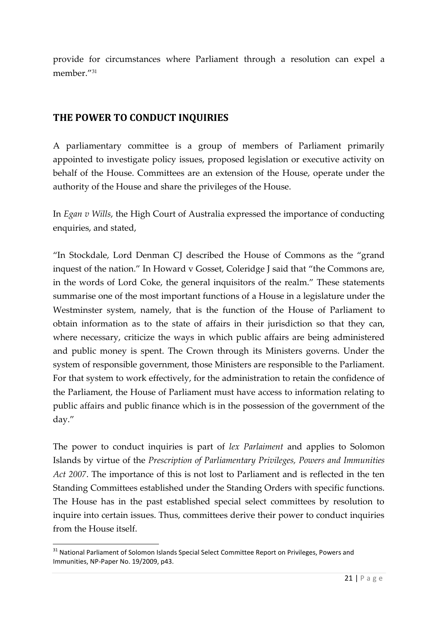provide for circumstances where Parliament through a resolution can expel a member<sup>"31</sup>

# **THE POWER TO CONDUCT INQUIRIES**

A parliamentary committee is a group of members of Parliament primarily appointed to investigate policy issues, proposed legislation or executive activity on behalf of the House. Committees are an extension of the House, operate under the authority of the House and share the privileges of the House.

In *Egan v Wills*, the High Court of Australia expressed the importance of conducting enquiries, and stated,

"In Stockdale, Lord Denman CJ described the House of Commons as the "grand inquest of the nation." In Howard v Gosset, Coleridge J said that "the Commons are, in the words of Lord Coke, the general inquisitors of the realm." These statements summarise one of the most important functions of a House in a legislature under the Westminster system, namely, that is the function of the House of Parliament to obtain information as to the state of affairs in their jurisdiction so that they can, where necessary, criticize the ways in which public affairs are being administered and public money is spent. The Crown through its Ministers governs. Under the system of responsible government, those Ministers are responsible to the Parliament. For that system to work effectively, for the administration to retain the confidence of the Parliament, the House of Parliament must have access to information relating to public affairs and public finance which is in the possession of the government of the day."

The power to conduct inquiries is part of *lex Parlaiment* and applies to Solomon Islands by virtue of the *Prescription of Parliamentary Privileges, Powers and Immunities Act 2007*. The importance of this is not lost to Parliament and is reflected in the ten Standing Committees established under the Standing Orders with specific functions. The House has in the past established special select committees by resolution to inquire into certain issues. Thus, committees derive their power to conduct inquiries from the House itself.

<sup>&</sup>lt;sup>31</sup> National Parliament of Solomon Islands Special Select Committee Report on Privileges, Powers and Immunities, NP-Paper No. 19/2009, p43.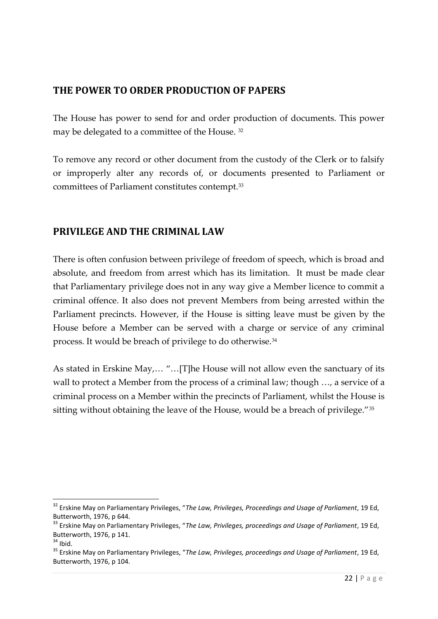# **THE POWER TO ORDER PRODUCTION OF PAPERS**

The House has power to send for and order production of documents. This power may be delegated to a committee of the House. <sup>32</sup>

To remove any record or other document from the custody of the Clerk or to falsify or improperly alter any records of, or documents presented to Parliament or committees of Parliament constitutes contempt.<sup>33</sup>

# **PRIVILEGE AND THE CRIMINAL LAW**

There is often confusion between privilege of freedom of speech, which is broad and absolute, and freedom from arrest which has its limitation. It must be made clear that Parliamentary privilege does not in any way give a Member licence to commit a criminal offence. It also does not prevent Members from being arrested within the Parliament precincts. However, if the House is sitting leave must be given by the House before a Member can be served with a charge or service of any criminal process. It would be breach of privilege to do otherwise.<sup>34</sup>

As stated in Erskine May,… "…[T]he House will not allow even the sanctuary of its wall to protect a Member from the process of a criminal law; though …, a service of a criminal process on a Member within the precincts of Parliament, whilst the House is sitting without obtaining the leave of the House, would be a breach of privilege."<sup>35</sup>

<sup>32</sup> Erskine May on Parliamentary Privileges, "*The Law, Privileges, Proceedings and Usage of Parliament*, 19 Ed, Butterworth, 1976, p 644.<br><sup>33</sup> Erskine May on Parliamentary Privileges, "*The Law, Privileges, proceedings and Usage of Parliament*, 19 Ed,

nent, 19 Ed,<br>22 | P a g e Butterworth, 1976, p 141.<br><sup>34</sup> Ibid.<br><sup>35</sup> Erskine May on Parliamentary Privileges, "*The Law, Privileges, proceedings and Usage of Parliament*, 19 Ed, Butterworth, 1976, p 104.